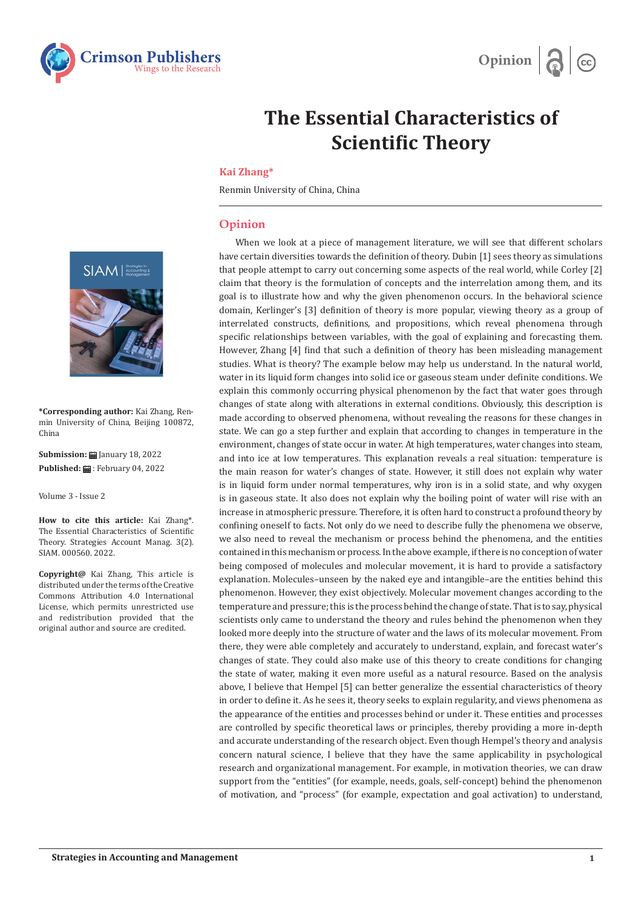



## **The Essential Characteristics of Scientific Theory**

## **Kai Zhang\***

Renmin University of China, China

## **Opinion**

When we look at a piece of management literature, we will see that different scholars have certain diversities towards the definition of theory. Dubin [1] sees theory as simulations that people attempt to carry out concerning some aspects of the real world, while Corley [2] claim that theory is the formulation of concepts and the interrelation among them, and its goal is to illustrate how and why the given phenomenon occurs. In the behavioral science domain, Kerlinger's [3] definition of theory is more popular, viewing theory as a group of interrelated constructs, definitions, and propositions, which reveal phenomena through specific relationships between variables, with the goal of explaining and forecasting them. However, Zhang [4] find that such a definition of theory has been misleading management studies. What is theory? The example below may help us understand. In the natural world, water in its liquid form changes into solid ice or gaseous steam under definite conditions. We explain this commonly occurring physical phenomenon by the fact that water goes through changes of state along with alterations in external conditions. Obviously, this description is made according to observed phenomena, without revealing the reasons for these changes in state. We can go a step further and explain that according to changes in temperature in the environment, changes of state occur in water. At high temperatures, water changes into steam, and into ice at low temperatures. This explanation reveals a real situation: temperature is the main reason for water's changes of state. However, it still does not explain why water is in liquid form under normal temperatures, why iron is in a solid state, and why oxygen is in gaseous state. It also does not explain why the boiling point of water will rise with an increase in atmospheric pressure. Therefore, it is often hard to construct a profound theory by confining oneself to facts. Not only do we need to describe fully the phenomena we observe, we also need to reveal the mechanism or process behind the phenomena, and the entities contained in this mechanism or process. In the above example, if there is no conception of water being composed of molecules and molecular movement, it is hard to provide a satisfactory explanation. Molecules–unseen by the naked eye and intangible–are the entities behind this phenomenon. However, they exist objectively. Molecular movement changes according to the temperature and pressure; this is the process behind the change of state. That is to say, physical scientists only came to understand the theory and rules behind the phenomenon when they looked more deeply into the structure of water and the laws of its molecular movement. From there, they were able completely and accurately to understand, explain, and forecast water's changes of state. They could also make use of this theory to create conditions for changing the state of water, making it even more useful as a natural resource. Based on the analysis above, I believe that Hempel [5] can better generalize the essential characteristics of theory in order to define it. As he sees it, theory seeks to explain regularity, and views phenomena as the appearance of the entities and processes behind or under it. These entities and processes are controlled by specific theoretical laws or principles, thereby providing a more in-depth and accurate understanding of the research object. Even though Hempel's theory and analysis concern natural science, I believe that they have the same applicability in psychological research and organizational management. For example, in motivation theories, we can draw support from the "entities" (for example, needs, goals, self-concept) behind the phenomenon of motivation, and "process" (for example, expectation and goal activation) to understand,



**\*Corresponding author:** Kai Zhang, Renmin University of China, Beijing 100872, China

**Submission:** January 18, 2022 **Published:** : February 04, 2022

Volume 3 - Issue 2

**How to cite this article:** Kai Zhang\*. The Essential Characteristics of Scientific Theory. Strategies Account Manag. 3(2). SIAM. 000560. 2022.

**Copyright@** Kai Zhang, This article is distributed under the terms of the Creative Commons Attribution 4.0 International License, which permits unrestricted use and redistribution provided that the original author and source are credited.